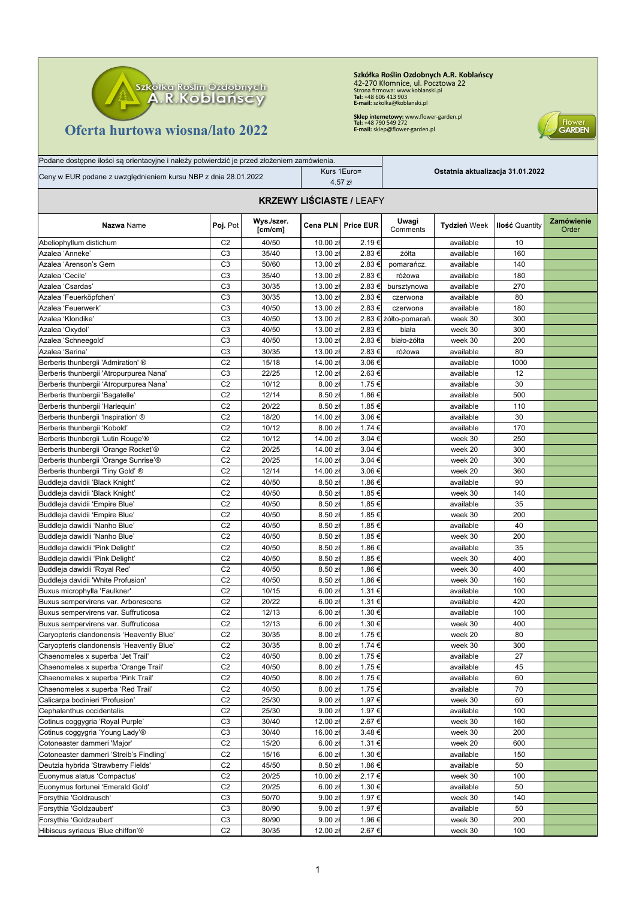

Podane dostępne ilości są orientacyjne i należy potwierdzić je przed złożeniem zamówienia.

## **Oferta hurtowa wiosna/lato 2022**

**Szkółka Roślin Ozdobnych A.R. Koblańscy<br>42-270 Kłomnice, ul. Pocztowa 22<br>Strona firmowa: www.koblanski.pl<br>Tel: +48 606 413 903<br>E-mail: szkolka@koblanski.pl** 

**Sklep internetowy:** www.flower-garden.pl **Tel:** +48 790 549 272 **E-mail:** sklep@flower-garden.pl



| Ceny w EUR podane z uwzględnieniem kursu NBP z dnia 28.01.2022               |                                  |                       |                     | Kurs 1Euro=<br>4.57 zł | Ostatnia aktualizacja 31.01.2022 |              |                       |                            |
|------------------------------------------------------------------------------|----------------------------------|-----------------------|---------------------|------------------------|----------------------------------|--------------|-----------------------|----------------------------|
| <b>KRZEWY LIŚCIASTE / LEAFY</b>                                              |                                  |                       |                     |                        |                                  |              |                       |                            |
| Nazwa Name                                                                   | Poj. Pot                         | Wys./szer.<br>[cm/cm] |                     | Cena PLN   Price EUR   | Uwagi<br>Comments                | Tydzień Week | <b>Ilość Quantity</b> | <b>Zamówienie</b><br>Order |
| Abeliophyllum distichum                                                      | C <sub>2</sub>                   | 40/50                 | 10.00 zł            | 2.19€                  |                                  | available    | 10                    |                            |
| Azalea 'Anneke'                                                              | C <sub>3</sub>                   | 35/40                 | 13.00 zł            | 2.83 €                 | żółta                            | available    | 160                   |                            |
| Azalea 'Arenson's Gem                                                        | C <sub>3</sub>                   | 50/60                 | 13.00 zł            | 2.83 €                 | pomarańcz.                       | available    | 140                   |                            |
| Azalea 'Cecile'                                                              | C <sub>3</sub>                   | 35/40                 | 13.00 zł            | 2.83€                  | różowa                           | available    | 180                   |                            |
| Azalea 'Csardas'                                                             | C <sub>3</sub>                   | 30/35                 | 13.00 zł            | 2.83 €                 | bursztynowa                      | available    | 270                   |                            |
| Azalea 'Feuerköpfchen'                                                       | C <sub>3</sub>                   | 30/35                 | 13.00 zł            | 2.83 €                 | czerwona                         | available    | 80                    |                            |
| Azalea 'Feuerwerk'                                                           | C <sub>3</sub>                   | 40/50                 | 13.00 zł            | 2.83 €                 | czerwona                         | available    | 180                   |                            |
| Azalea 'Klondike'                                                            | C <sub>3</sub>                   | 40/50                 | 13.00 zł            |                        | 2.83 € żółto-pomarań             | week 30      | 300                   |                            |
| Azalea 'Oxydol'                                                              | C <sub>3</sub>                   | 40/50                 | 13.00 zł            | 2.83 €                 | biała                            | week 30      | 300                   |                            |
| Azalea 'Schneegold'                                                          | C <sub>3</sub>                   | 40/50                 | 13.00 zł            | 2.83 €                 | biało-żółta                      | week 30      | 200                   |                            |
| Azalea 'Sarina'                                                              | C <sub>3</sub>                   | 30/35                 | 13.00 zł            | 2.83 €                 | różowa                           | available    | 80                    |                            |
| Berberis thunbergii 'Admiration' ®                                           | C <sub>2</sub>                   | 15/18                 | 14.00 zł            | 3.06€                  |                                  | available    | 1000                  |                            |
| Berberis thunbergii 'Atropurpurea Nana'                                      | C <sub>3</sub>                   | 22/25                 | 12.00 zł            | 2.63€                  |                                  | available    | 12                    |                            |
| Berberis thunbergii 'Atropurpurea Nana'                                      | C <sub>2</sub>                   | 10/12                 | 8.00 zł             | 1.75 €                 |                                  | available    | 30                    |                            |
| Berberis thunbergii 'Bagatelle'                                              | C <sub>2</sub>                   | 12/14                 | 8.50 zł             | 1.86 €                 |                                  | available    | 500                   |                            |
| Berberis thunbergii 'Harleguin'                                              | C <sub>2</sub>                   | 20/22                 | 8.50z               | 1.85 €                 |                                  | available    | 110                   |                            |
| Berberis thunbergii 'Inspiration' ®                                          | C <sub>2</sub>                   | 18/20                 | 14.00 zł            | 3.06€                  |                                  | available    | 30                    |                            |
| Berberis thunbergii 'Kobold'                                                 | C <sub>2</sub>                   | 10/12                 | 8.00 zł             | 1.74 €                 |                                  | available    | 170                   |                            |
| Berberis thunbergii 'Lutin Rouge'®                                           | C <sub>2</sub>                   | 10/12                 | 14.00 zł            | 3.04 €                 |                                  | week 30      | 250                   |                            |
| Berberis thunbergii 'Orange Rocket'®                                         | C <sub>2</sub>                   | 20/25                 | 14.00 zł            | 3.04 €                 |                                  | week 20      | 300                   |                            |
| Berberis thunbergii 'Orange Sunrise'®                                        | C <sub>2</sub>                   | 20/25                 | 14.00 zł            | 3.04 €                 |                                  | week 20      | 300                   |                            |
| Berberis thunbergii 'Tiny Gold' ®                                            | C <sub>2</sub>                   | 12/14                 | 14.00 zł            | 3.06€                  |                                  | week 20      | 360                   |                            |
| Buddleja davidii 'Black Knight'                                              | C <sub>2</sub>                   | 40/50                 | 8.50z               | 1.86 €                 |                                  | available    | 90                    |                            |
| Buddleja davidii 'Black Knight'                                              | C <sub>2</sub>                   | 40/50                 | 8.50 zł             | 1.85 €                 |                                  | week 30      | 140                   |                            |
| Buddleja davidii 'Empire Blue'                                               | C <sub>2</sub>                   | 40/50                 | 8.50z               | 1.85 €                 |                                  | available    | 35                    |                            |
| Buddleja davidii 'Empire Blue'                                               | C <sub>2</sub>                   | 40/50                 | 8.50 zł             | 1.85 €                 |                                  | week 30      | 200                   |                            |
| Buddleja dawidii 'Nanho Blue'                                                | C <sub>2</sub>                   | 40/50                 | 8.50 zł             | 1.85 €                 |                                  | available    | 40                    |                            |
| Buddleja dawidii 'Nanho Blue'                                                | C <sub>2</sub>                   | 40/50                 | 8.50 zł             | 1.85 €                 |                                  | week 30      | 200                   |                            |
| Buddleja dawidii 'Pink Delight'                                              | C <sub>2</sub>                   | 40/50                 | 8.50 zł             | 1.86 €                 |                                  | available    | 35                    |                            |
| Buddleja dawidii 'Pink Delight'                                              | C <sub>2</sub>                   | 40/50                 | 8.50 zł             | 1.85 €                 |                                  | week 30      | 400                   |                            |
|                                                                              | C <sub>2</sub>                   | 40/50                 | 8.50 zł             | 1.86 €                 |                                  | week 30      | 400                   |                            |
| Buddleja dawidii 'Royal Red'                                                 | C <sub>2</sub>                   | 40/50                 | 8.50 zł             | 1.86 €                 |                                  | week 30      | 160                   |                            |
| Buddleja davidii 'White Profusion'                                           | C <sub>2</sub>                   | 10/15                 | 6.00 z <sub>k</sub> | 1.31 €                 |                                  |              | 100                   |                            |
| Buxus microphylla 'Faulkner'                                                 |                                  |                       |                     |                        |                                  | available    |                       |                            |
| Buxus sempervirens var. Arborescens                                          | C <sub>2</sub>                   | 20/22                 | 6.00 z <sub>k</sub> | 1.31 €                 |                                  | available    | 420                   |                            |
| Buxus sempervirens var. Suffruticosa<br>Buxus sempervirens var. Suffruticosa | C <sub>2</sub><br>C <sub>2</sub> | 12/13                 | 6.00 zł             | 1.30 €                 |                                  | available    | 100                   |                            |
|                                                                              | C <sub>2</sub>                   | 12/13<br>30/35        | 6.00 z <sub>k</sub> | 1.30 €                 |                                  | week 30      | 400<br>80             |                            |
| Caryopteris clandonensis 'Heavently Blue'                                    | C <sub>2</sub>                   |                       | 8.00 z <sub>k</sub> | 1.75 €<br>1.74 €       |                                  | week 20      |                       |                            |
| Caryopteris clandonensis 'Heavently Blue'                                    |                                  | 30/35                 | 8.00 zł             |                        |                                  | week 30      | 300                   |                            |
| Chaenomeles x superba 'Jet Trail'                                            | C <sub>2</sub>                   | 40/50                 | 8.00 zH             | 1.75 €                 |                                  | available    | 27                    |                            |
| Chaenomeles x superba 'Orange Trail'                                         | C <sub>2</sub>                   | 40/50                 | 8.00 zł             | 1.75 €                 |                                  | available    | 45                    |                            |
| Chaenomeles x superba 'Pink Trail'                                           | C <sub>2</sub>                   | 40/50                 | 8.00 z <sub>k</sub> | 1.75 €                 |                                  | available    | 60                    |                            |
| Chaenomeles x superba 'Red Trail'                                            | C <sub>2</sub>                   | 40/50                 | 8.00 zł             | 1.75 €                 |                                  | available    | 70                    |                            |
| Calicarpa bodinieri 'Profusion'                                              | C <sub>2</sub>                   | 25/30                 | 9.00 z <sub>t</sub> | 1.97 €                 |                                  | week 30      | 60                    |                            |
| Cephalanthus occidentalis                                                    | C <sub>2</sub>                   | 25/30                 | 9.00 z <sub>t</sub> | 1.97 €                 |                                  | available    | 100                   |                            |
| Cotinus coggygria 'Royal Purple'                                             | C <sub>3</sub>                   | 30/40                 | 12.00 zł            | 2.67 €                 |                                  | week 30      | 160                   |                            |
| Cotinus coggygria 'Young Lady'®                                              | C <sub>3</sub>                   | 30/40                 | 16.00 zł            | 3.48 €                 |                                  | week 30      | 200                   |                            |
| Cotoneaster dammeri 'Major'                                                  | C <sub>2</sub>                   | 15/20                 | 6.00 z <sub>k</sub> | 1.31 €                 |                                  | week 20      | 600                   |                            |
| Cotoneaster dammeri 'Streib's Findling'                                      | C <sub>2</sub>                   | 15/16                 | 6.00 z <sub>k</sub> | 1.30 €                 |                                  | available    | 150                   |                            |
| Deutzia hybrida 'Strawberry Fields'                                          | C <sub>2</sub>                   | 45/50                 | 8.50 zł             | 1.86 €                 |                                  | available    | 50                    |                            |
| Euonymus alatus 'Compactus'                                                  | C <sub>2</sub>                   | 20/25                 | 10.00 zł            | 2.17€                  |                                  | week 30      | 100                   |                            |
| Euonymus fortunei 'Emerald Gold'                                             | C <sub>2</sub>                   | 20/25                 | 6.00 z <sub>k</sub> | 1.30 €                 |                                  | available    | 50                    |                            |
| Forsythia 'Goldrausch'                                                       | C <sub>3</sub>                   | 50/70                 | 9.00 zł             | 1.97 €                 |                                  | week 30      | 140                   |                            |
| Forsythia 'Goldzaubert'                                                      | C <sub>3</sub>                   | 80/90                 | 9.00 z <sub>t</sub> | 1.97 €                 |                                  | available    | 50                    |                            |
| Forsythia 'Goldzaubert'                                                      | C <sub>3</sub>                   | 80/90                 | 9.00 z <sub>t</sub> | 1.96 €                 |                                  | week 30      | 200                   |                            |
| Hibiscus syriacus 'Blue chiffon'®                                            | C <sub>2</sub>                   | 30/35                 | 12.00 zł            | 2.67 €                 |                                  | week 30      | 100                   |                            |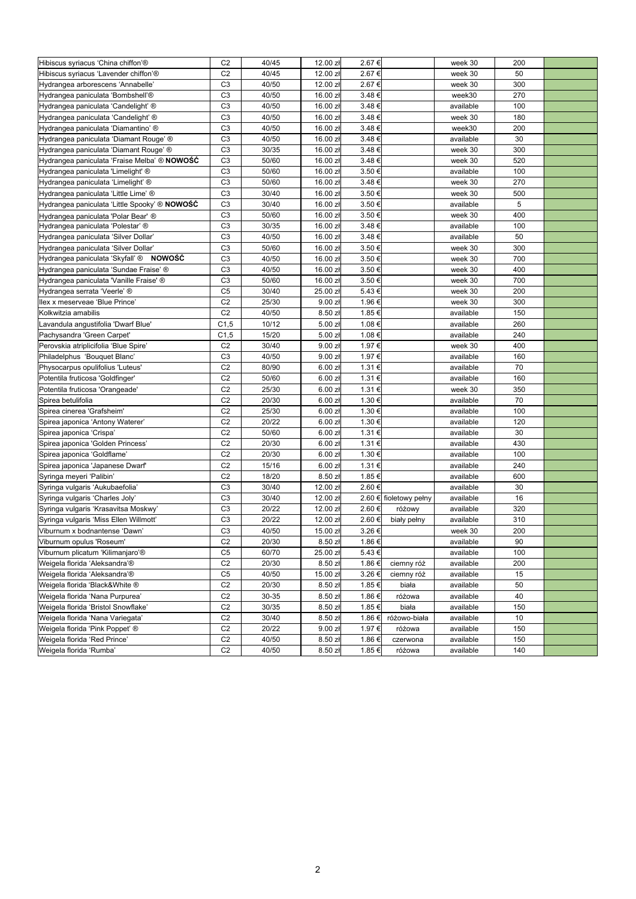| Hibiscus syriacus 'China chiffon'®                    | C <sub>2</sub>   | 40/45 | 12.00 zł            | 2.67 € |                        | week 30   | 200 |  |
|-------------------------------------------------------|------------------|-------|---------------------|--------|------------------------|-----------|-----|--|
| Hibiscus syriacus 'Lavender chiffon'®                 | C <sub>2</sub>   | 40/45 | 12.00 zł            | 2.67€  |                        | week 30   | 50  |  |
| Hydrangea arborescens 'Annabelle'                     | C <sub>3</sub>   | 40/50 | 12.00 zł            | 2.67 € |                        | week 30   | 300 |  |
| Hydrangea paniculata 'Bombshell'®                     | C <sub>3</sub>   | 40/50 | 16.00 zł            | 3.48€  |                        | week30    | 270 |  |
| Hydrangea paniculata 'Candelight' ®                   | C <sub>3</sub>   | 40/50 | 16.00 zł            | 3.48€  |                        | available | 100 |  |
| Hydrangea paniculata 'Candelight' ®                   | C <sub>3</sub>   | 40/50 | 16.00 zł            | 3.48€  |                        | week 30   | 180 |  |
| Hydrangea paniculata 'Diamantino' ®                   | C <sub>3</sub>   | 40/50 | 16.00 zł            | 3.48€  |                        | week30    | 200 |  |
| Hydrangea paniculata 'Diamant Rouge' ®                | C <sub>3</sub>   | 40/50 | 16.00 zł            | 3.48€  |                        | available | 30  |  |
| Hydrangea paniculata 'Diamant Rouge' ®                | C <sub>3</sub>   | 30/35 | 16.00 zł            | 3.48€  |                        | week 30   | 300 |  |
| Hydrangea paniculata 'Fraise Melba' ® NOWOŚĆ          | C <sub>3</sub>   | 50/60 | 16.00 zł            | 3.48 € |                        | week 30   | 520 |  |
| Hydrangea paniculata 'Limelight' ®                    | C <sub>3</sub>   | 50/60 | 16.00 zł            | 3.50 € |                        | available | 100 |  |
| Hydrangea paniculata 'Limelight' ®                    | C <sub>3</sub>   | 50/60 | 16.00 zł            | 3.48€  |                        | week 30   | 270 |  |
| Hydrangea paniculata 'Little Lime' ®                  | C <sub>3</sub>   | 30/40 | 16.00 zł            | 3.50 € |                        | week 30   | 500 |  |
| ∣Hydrangea paniculata 'Little Spooky' ® <b>NOWOŚĆ</b> | C <sub>3</sub>   | 30/40 | 16.00 zł            | 3.50 € |                        | available | 5   |  |
| Hydrangea paniculata 'Polar Bear' ®                   | C <sub>3</sub>   | 50/60 | 16.00 zł            | 3.50 € |                        | week 30   | 400 |  |
| Hydrangea paniculata 'Polestar' ®                     | C <sub>3</sub>   | 30/35 | 16.00 zł            | 3.48€  |                        | available | 100 |  |
| Hydrangea paniculata 'Silver Dollar'                  | C <sub>3</sub>   | 40/50 | 16.00 zł            | 3.48€  |                        | available | 50  |  |
| Hydrangea paniculata 'Silver Dollar'                  | C <sub>3</sub>   | 50/60 | 16.00 zł            | 3.50 € |                        | week 30   | 300 |  |
| <b>NOWOŚĆ</b><br>Hydrangea paniculata 'Skyfall' ®     | C <sub>3</sub>   | 40/50 | 16.00 zł            | 3.50 € |                        | week 30   | 700 |  |
| Hydrangea paniculata 'Sundae Fraise' ®                | C <sub>3</sub>   | 40/50 | 16.00 zł            | 3.50 € |                        | week 30   | 400 |  |
| Hydrangea paniculata 'Vanille Fraise' ®               | C <sub>3</sub>   | 50/60 | 16.00 zł            | 3.50 € |                        | week 30   | 700 |  |
| Hydrangea serrata 'Veerle' ®                          | C <sub>5</sub>   | 30/40 | 25.00 zł            | 5.43€  |                        | week 30   | 200 |  |
| llex x meserveae 'Blue Prince'                        | C <sub>2</sub>   | 25/30 | 9.00 z <sub>t</sub> | 1.96 € |                        | week 30   | 300 |  |
| Kolkwitzia amabilis                                   | C <sub>2</sub>   | 40/50 | 8.50z               | 1.85 € |                        | available | 150 |  |
| Lavandula angustifolia 'Dwarf Blue'                   | C <sub>1,5</sub> | 10/12 | 5.00 zł             | 1.08€  |                        | available | 260 |  |
| Pachysandra 'Green Carpet'                            | C <sub>1,5</sub> | 15/20 | 5.00 zł             | 1.08€  |                        | available | 240 |  |
|                                                       |                  |       |                     |        |                        |           |     |  |
| Perovskia atriplicifolia 'Blue Spire'                 | C <sub>2</sub>   | 30/40 | 9.00 z <sub>t</sub> | 1.97 € |                        | week 30   | 400 |  |
| Philadelphus 'Bouquet Blanc'                          | C <sub>3</sub>   | 40/50 | 9.00 z <sub>t</sub> | 1.97 € |                        | available | 160 |  |
| Physocarpus opulifolius 'Luteus'                      | C <sub>2</sub>   | 80/90 | 6.00 z <sub>k</sub> | 1.31 € |                        | available | 70  |  |
| Potentila fruticosa 'Goldfinger'                      | C <sub>2</sub>   | 50/60 | 6.00 z <sub>k</sub> | 1.31 € |                        | available | 160 |  |
| Potentila fruticosa 'Orangeade'                       | C <sub>2</sub>   | 25/30 | 6.00 z <sub>k</sub> | 1.31 € |                        | week 30   | 350 |  |
| Spirea betulifolia                                    | C <sub>2</sub>   | 20/30 | 6.00 z <sub>k</sub> | 1.30 € |                        | available | 70  |  |
| Spirea cinerea 'Grafsheim'                            | C <sub>2</sub>   | 25/30 | 6.00 z <sub>t</sub> | 1.30 € |                        | available | 100 |  |
| Spirea japonica 'Antony Waterer'                      | C <sub>2</sub>   | 20/22 | 6.00 z <sub>k</sub> | 1.30 € |                        | available | 120 |  |
| Spirea japonica 'Crispa'                              | C <sub>2</sub>   | 50/60 | 6.00 z <sub>k</sub> | 1.31 € |                        | available | 30  |  |
| Spirea japonica 'Golden Princess'                     | C <sub>2</sub>   | 20/30 | 6.00 z <sub>k</sub> | 1.31 € |                        | available | 430 |  |
| Spirea japonica 'Goldflame'                           | C <sub>2</sub>   | 20/30 | 6.00 z <sub>k</sub> | 1.30 € |                        | available | 100 |  |
| Spirea japonica 'Japanese Dwarf'                      | C <sub>2</sub>   | 15/16 | 6.00 z <sub>k</sub> | 1.31 € |                        | available | 240 |  |
| Syringa meyeri 'Palibin'                              | C <sub>2</sub>   | 18/20 | 8.50 zł             | 1.85 € |                        | available | 600 |  |
| Syringa vulgaris 'Aukubaefolia'                       | C <sub>3</sub>   | 30/40 | 12.00 zł            | 2.60€  |                        | available | 30  |  |
| Syringa vulgaris 'Charles Joly'                       | C <sub>3</sub>   | 30/40 | 12.00 zł            |        | 2.60 € fioletowy pełny | available | 16  |  |
| Syringa vulgaris 'Krasavitsa Moskwy'                  | C <sub>3</sub>   | 20/22 | 12.00 zł            | 2.60€  | różowy                 | available | 320 |  |
| Syringa vulgaris 'Miss Ellen Willmott'                | C <sub>3</sub>   | 20/22 | 12.00 zł            | 2.60€  | biały pełny            | available | 310 |  |
| Viburnum x bodnantense 'Dawn'                         | C <sub>3</sub>   | 40/50 | 15.00 zł            | 3.26€  |                        | week 30   | 200 |  |
| Viburnum opulus 'Roseum'                              | C <sub>2</sub>   | 20/30 | 8.50 zł             | 1.86 € |                        | available | 90  |  |
| Viburnum plicatum 'Kilimanjaro'®                      | C <sub>5</sub>   | 60/70 | 25.00 zł            | 5.43€  |                        | available | 100 |  |
| Weigela florida 'Aleksandra'®                         | C <sub>2</sub>   | 20/30 | 8.50 zł             | 1.86 € | ciemny róż             | available | 200 |  |
| Weigela florida 'Aleksandra'®                         | C <sub>5</sub>   | 40/50 | 15.00 zł            | 3.26 € | ciemny róż             | available | 15  |  |
| Weigela florida 'Black&White ®                        | C <sub>2</sub>   | 20/30 | 8.50 zł             | 1.85 € | biała                  | available | 50  |  |
| Weigela florida 'Nana Purpurea'                       | C <sub>2</sub>   | 30-35 | 8.50 zł             | 1.86 € | różowa                 | available | 40  |  |
| Weigela florida 'Bristol Snowflake'                   | C <sub>2</sub>   | 30/35 | 8.50 zł             | 1.85 € | biała                  | available | 150 |  |
| Weigela florida 'Nana Variegata'                      | C <sub>2</sub>   | 30/40 | 8.50 zł             | 1.86 € | różowo-biała           | available | 10  |  |
| Weigela florida 'Pink Poppet' ®                       | C <sub>2</sub>   | 20/22 | 9.00 zH             | 1.97 € | różowa                 | available | 150 |  |
| Weigela florida 'Red Prince'                          | C <sub>2</sub>   | 40/50 | 8.50 zł             | 1.86 € | czerwona               | available | 150 |  |
| Weigela florida 'Rumba'                               | C <sub>2</sub>   | 40/50 | 8.50 zł             | 1.85 € | różowa                 | available | 140 |  |
|                                                       |                  |       |                     |        |                        |           |     |  |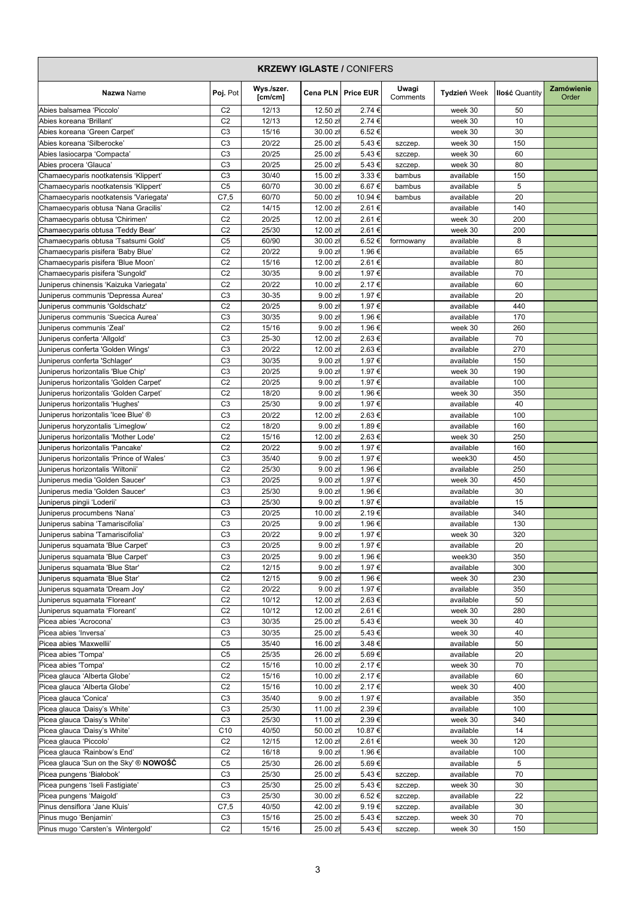| <b>KRZEWY IGLASTE / CONIFERS</b>                                           |                                  |                       |                      |                      |                   |                        |                       |                            |
|----------------------------------------------------------------------------|----------------------------------|-----------------------|----------------------|----------------------|-------------------|------------------------|-----------------------|----------------------------|
| Nazwa Name                                                                 | Poj. Pot                         | Wys./szer.<br>[cm/cm] |                      | Cena PLN   Price EUR | Uwagi<br>Comments | <b>Tydzień Week</b>    | <b>Ilość Quantity</b> | <b>Zamówienie</b><br>Order |
| Abies balsamea 'Piccolo'                                                   | C <sub>2</sub>                   | 12/13                 | 12.50 zł             | 2.74 €               |                   | week 30                | 50                    |                            |
| Abies koreana 'Brillant'                                                   | C <sub>2</sub>                   | 12/13                 | 12.50 z <sub>t</sub> | 2.74 €               |                   | week 30                | 10                    |                            |
| Abies koreana 'Green Carpet'                                               | C <sub>3</sub>                   | 15/16                 | 30.00 zł             | 6.52€                |                   | week 30                | 30                    |                            |
| Abies koreana 'Silberocke'                                                 | C <sub>3</sub>                   | 20/22                 | 25.00 zł             | 5.43 €               | szczep.           | week 30                | 150                   |                            |
| Abies lasiocarpa 'Compacta'                                                | C <sub>3</sub>                   | 20/25                 | 25.00 zł             | 5.43 €               | szczep.           | week 30                | 60                    |                            |
| Abies procera 'Glauca'                                                     | C <sub>3</sub>                   | 20/25                 | 25.00 zł             | 5.43€                | szczep.           | week 30                | 80                    |                            |
| Chamaecyparis nootkatensis 'Klippert'                                      | C <sub>3</sub>                   | 30/40                 | 15.00 zł             | 3.33 €               | bambus            | available              | 150                   |                            |
| Chamaecyparis nootkatensis 'Klippert'                                      | C <sub>5</sub>                   | 60/70                 | 30.00 zł             | 6.67€                | bambus            | available              | 5                     |                            |
| Chamaecyparis nootkatensis 'Variegata'                                     | C7,5                             | 60/70                 | 50.00 zł             | 10.94 €              | bambus            | available              | 20                    |                            |
| Chamaecyparis obtusa 'Nana Gracilis'                                       | C <sub>2</sub>                   | 14/15                 | 12.00 z <sub>t</sub> | 2.61 €               |                   | available              | 140                   |                            |
| Chamaecyparis obtusa 'Chirimen'                                            | C <sub>2</sub><br>C <sub>2</sub> | 20/25<br>25/30        | 12.00 zł             | 2.61€<br>2.61€       |                   | week 30                | 200<br>200            |                            |
| Chamaecyparis obtusa 'Teddy Bear'                                          | C <sub>5</sub>                   | 60/90                 | 12.00 zł<br>30.00 zł | 6.52€                |                   | week 30                | 8                     |                            |
| Chamaecyparis obtusa 'Tsatsumi Gold'<br>Chamaecyparis pisifera 'Baby Blue' | C <sub>2</sub>                   | 20/22                 | 9.00 z <sub>t</sub>  | 1.96 €               | formowany         | available<br>available | 65                    |                            |
| Chamaecyparis pisifera 'Blue Moon'                                         | C <sub>2</sub>                   | 15/16                 | 12.00 zł             | 2.61€                |                   | available              | 80                    |                            |
| Chamaecyparis pisifera 'Sungold'                                           | C <sub>2</sub>                   | 30/35                 | 9.00 zł              | 1.97 €               |                   | available              | 70                    |                            |
| Juniperus chinensis 'Kaizuka Variegata'                                    | C <sub>2</sub>                   | 20/22                 | 10.00 zł             | 2.17€                |                   | available              | 60                    |                            |
| Juniperus communis 'Depressa Aurea'                                        | C <sub>3</sub>                   | 30-35                 | 9.00 z <sub>t</sub>  | 1.97 €               |                   | available              | 20                    |                            |
| Juniperus communis 'Goldschatz'                                            | C <sub>2</sub>                   | 20/25                 | 9.00 zł              | 1.97 €               |                   | available              | 440                   |                            |
| Juniperus communis 'Suecica Aurea'                                         | C <sub>3</sub>                   | 30/35                 | 9.00 zł              | 1.96 €               |                   | available              | 170                   |                            |
| Juniperus communis 'Zeal'                                                  | C <sub>2</sub>                   | 15/16                 | 9.00 z <sub>t</sub>  | 1.96 €               |                   | week 30                | 260                   |                            |
| Juniperus conferta 'Allgold'                                               | C <sub>3</sub>                   | 25-30                 | 12.00 zł             | 2.63€                |                   | available              | 70                    |                            |
| Juniperus conferta 'Golden Wings'                                          | C <sub>3</sub>                   | 20/22                 | 12.00 zł             | 2.63€                |                   | available              | 270                   |                            |
| Juniperus conferta 'Schlager'                                              | C <sub>3</sub>                   | 30/35                 | 9.00 z <sub>t</sub>  | 1.97 €               |                   | available              | 150                   |                            |
| Juniperus horizontalis 'Blue Chip'                                         | C <sub>3</sub>                   | 20/25                 | 9.00 zł              | 1.97 €               |                   | week 30                | 190                   |                            |
| Juniperus horizontalis 'Golden Carpet'                                     | C <sub>2</sub>                   | 20/25                 | 9.00 zł              | 1.97 €               |                   | available              | 100                   |                            |
| Juniperus horizontalis 'Golden Carpet'                                     | C <sub>2</sub>                   | 18/20                 | 9.00 z <sub>t</sub>  | 1.96 €               |                   | week 30                | 350                   |                            |
| Juniperus horizontalis 'Hughes'                                            | C <sub>3</sub>                   | 25/30                 | 9.00 zł              | 1.97 €               |                   | available              | 40                    |                            |
| Juniperus horizontalis 'Icee Blue' ®                                       | C <sub>3</sub>                   | 20/22                 | 12.00 zł             | 2.63€                |                   | available              | 100                   |                            |
| Juniperus horyzontalis 'Limeglow'                                          | C <sub>2</sub>                   | 18/20                 | 9.00 zł              | 1.89€                |                   | available              | 160                   |                            |
| Juniperus horizontalis 'Mother Lode'                                       | C <sub>2</sub>                   | 15/16                 | 12.00 zł             | 2.63 €               |                   | week 30                | 250                   |                            |
| Juniperus horizontalis 'Pancake'                                           | C <sub>2</sub>                   | 20/22                 | 9.00 zł              | 1.97 €               |                   | available              | 160                   |                            |
| Juniperus horizontalis 'Prince of Wales'                                   | C <sub>3</sub>                   | 35/40                 | 9.00 zł              | 1.97 €               |                   | week30                 | 450                   |                            |
| Juniperus horizontalis 'Wiltonii'                                          | C <sub>2</sub>                   | 25/30                 | 9.00 z <sub>t</sub>  | 1.96 €               |                   | available              | 250                   |                            |
| Juniperus media 'Golden Saucer'                                            | C <sub>3</sub>                   | 20/25                 | 9.00 zł              | 1.97 €               |                   | week 30                | 450                   |                            |
| Juniperus media 'Golden Saucer'                                            | C <sub>3</sub>                   | 25/30                 | 9.00 zł              | 1.96 €               |                   | available              | 30                    |                            |
| Juniperus pingii 'Loderii'                                                 | C <sub>3</sub>                   | 25/30                 | 9.00 z <sub>t</sub>  | 1.97 €               |                   | available              | 15                    |                            |
| Juniperus procumbens 'Nana'                                                | C <sub>3</sub>                   | 20/25                 | 10.00 zł             | 2.19€                |                   | available              | 340                   |                            |
| Juniperus sabina 'Tamariscifolia'                                          | C <sub>3</sub>                   | 20/25                 | 9.00 z <sub>t</sub>  | 1.96 €               |                   | available              | 130                   |                            |
| Juniperus sabina 'Tamariscifolia'                                          | C <sub>3</sub>                   | 20/22                 | 9.00 zH              | 1.97 €               |                   | week 30                | 320                   |                            |
| Juniperus squamata 'Blue Carpet'                                           | C <sub>3</sub>                   | 20/25                 | 9.00 zH              | 1.97 €               |                   | available              | 20                    |                            |
| Juniperus squamata 'Blue Carpet'                                           | C <sub>3</sub>                   | 20/25                 | 9.00 zł              | 1.96 €               |                   | week30                 | 350                   |                            |
| Juniperus squamata 'Blue Star'                                             | C <sub>2</sub>                   | 12/15                 | 9.00 zł              | 1.97 €               |                   | available              | 300                   |                            |
| Juniperus squamata 'Blue Star'                                             | C <sub>2</sub>                   | 12/15                 | 9.00 zł              | 1.96 €               |                   | week 30                | 230                   |                            |
| Juniperus squamata 'Dream Joy'                                             | C <sub>2</sub>                   | 20/22                 | 9.00 zł              | 1.97 €               |                   | available              | 350                   |                            |
| Juniperus squamata 'Floreant'                                              | C <sub>2</sub>                   | 10/12                 | 12.00 zł             | 2.63 €               |                   | available              | 50                    |                            |
| Juniperus squamata 'Floreant'                                              | C <sub>2</sub>                   | 10/12                 | 12.00 zł             | 2.61€                |                   | week 30                | 280                   |                            |
| Picea abies 'Acrocona'                                                     | C <sub>3</sub>                   | 30/35                 | 25.00 zł             | 5.43€                |                   | week 30                | 40                    |                            |
| Picea abies 'Inversa'                                                      | C <sub>3</sub>                   | 30/35                 | 25.00 zł             | 5.43€                |                   | week 30                | 40                    |                            |
| Picea abies 'Maxwellii'                                                    | C <sub>5</sub>                   | 35/40                 | 16.00 zł             | 3.48€                |                   | available              | 50                    |                            |
| Picea abies 'Tompa'                                                        | C <sub>5</sub>                   | 25/35                 | 26.00 zł             | 5.69€                |                   | available              | 20                    |                            |
| Picea abies 'Tompa'                                                        | C <sub>2</sub>                   | 15/16                 | 10.00 zł             | 2.17€                |                   | week 30                | 70                    |                            |
| Picea glauca 'Alberta Globe'                                               | C <sub>2</sub>                   | 15/16                 | 10.00 zł             | 2.17€                |                   | available              | 60                    |                            |
| Picea glauca 'Alberta Globe'                                               | C <sub>2</sub>                   | 15/16                 | 10.00 zł             | 2.17€                |                   | week 30                | 400                   |                            |
| Picea glauca 'Conica'                                                      | C <sub>3</sub>                   | 35/40                 | 9.00 zł              | 1.97 €               |                   | available              | 350                   |                            |
| Picea glauca 'Daisy's White'                                               | C <sub>3</sub>                   | 25/30                 | 11.00 zł             | 2.39€                |                   | available              | 100                   |                            |
| Picea glauca 'Daisy's White'                                               | C <sub>3</sub>                   | 25/30                 | 11.00 zł             | 2.39€                |                   | week 30                | 340                   |                            |
| Picea glauca 'Daisy's White'                                               | C <sub>10</sub>                  | 40/50                 | 50.00 zł             | 10.87€               |                   | available              | 14                    |                            |
| Picea glauca 'Piccolo'                                                     | C <sub>2</sub>                   | 12/15                 | 12.00 zł             | 2.61 €               |                   | week 30                | 120                   |                            |
| Picea glauca 'Rainbow's End'                                               | C <sub>2</sub>                   | 16/18                 | 9.00 zI              | 1.96 €               |                   | available              | 100                   |                            |
| Picea glauca 'Sun on the Sky' ® NOWOŚĆ                                     | C <sub>5</sub>                   | 25/30                 | 26.00 zł             | 5.69€                |                   | available              | 5                     |                            |
| Picea pungens 'Białobok'                                                   | C <sub>3</sub>                   | 25/30                 | 25.00 zł             | 5.43€                | szczep.           | available              | 70                    |                            |
| Picea pungens 'Iseli Fastigiate'                                           | C <sub>3</sub>                   | 25/30                 | 25.00 zł             | 5.43€                | szczep.           | week 30                | 30                    |                            |
| Picea pungens 'Maigold'                                                    | C <sub>3</sub>                   | 25/30                 | 30.00 zł             | 6.52€                | szczep.           | available              | 22                    |                            |
| Pinus densiflora 'Jane Kluis'                                              | C7,5                             | 40/50                 | 42.00 zł             | 9.19€                | szczep.           | available              | 30                    |                            |
| Pinus mugo 'Benjamin'                                                      | C <sub>3</sub>                   | 15/16                 | 25.00 zł             | 5.43 €               | szczep.           | week 30                | 70                    |                            |
| Pinus mugo 'Carsten's Wintergold'                                          | C <sub>2</sub>                   | 15/16                 | 25.00 zł             | 5.43€                | szczep.           | week 30                | 150                   |                            |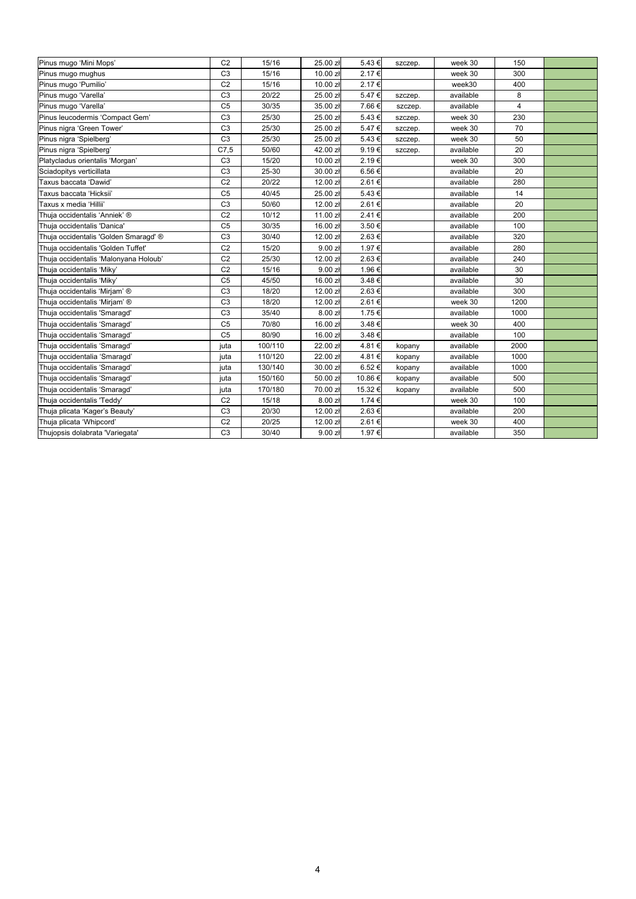| Pinus mugo 'Mini Mops'                | C <sub>2</sub> | 15/16   | 25.00 zł             | 5.43€   | szczep. | week 30   | 150                     |  |
|---------------------------------------|----------------|---------|----------------------|---------|---------|-----------|-------------------------|--|
| Pinus mugo mughus                     | C <sub>3</sub> | 15/16   | $10.00$ złl          | 2.17€   |         | week 30   | 300                     |  |
| Pinus mugo 'Pumilio'                  | C <sub>2</sub> | 15/16   | 10.00 zł             | 2.17€   |         | week30    | 400                     |  |
| Pinus mugo 'Varella'                  | C <sub>3</sub> | 20/22   | 25.00 zł             | 5.47€   | szczep. | available | 8                       |  |
| Pinus mugo 'Varella'                  | C <sub>5</sub> | 30/35   | 35.00 zł             | 7.66 €  | szczep. | available | $\overline{\mathbf{4}}$ |  |
| Pinus leucodermis 'Compact Gem'       | C <sub>3</sub> | 25/30   | 25.00 zł             | 5.43€   | szczep. | week 30   | 230                     |  |
| Pinus nigra 'Green Tower'             | C <sub>3</sub> | 25/30   | 25.00 zł             | 5.47€   | szczep. | week 30   | 70                      |  |
| Pinus nigra 'Spielberg'               | C <sub>3</sub> | 25/30   | 25.00 zł             | 5.43€   | szczep. | week 30   | 50                      |  |
| Pinus nigra 'Spielberg'               | C7,5           | 50/60   | 42.00 zł             | 9.19€   | szczep. | available | 20                      |  |
| Platycladus orientalis 'Morgan'       | C <sub>3</sub> | 15/20   | 10.00 zł             | 2.19€   |         | week 30   | 300                     |  |
| Sciadopitys verticillata              | C <sub>3</sub> | 25-30   | 30.00 złl            | 6.56€   |         | available | 20                      |  |
| Taxus baccata 'Dawid'                 | C <sub>2</sub> | 20/22   | 12.00 zł             | 2.61€   |         | available | 280                     |  |
| Taxus baccata 'Hicksii'               | C <sub>5</sub> | 40/45   | 25.00 zł             | 5.43€   |         | available | 14                      |  |
| Taxus x media 'Hillii'                | C <sub>3</sub> | 50/60   | 12.00 zł             | 2.61€   |         | available | 20                      |  |
| Thuja occidentalis 'Anniek' ®         | C <sub>2</sub> | 10/12   | 11.00 zł             | 2.41€   |         | available | 200                     |  |
| Thuja occidentalis 'Danica'           | C <sub>5</sub> | 30/35   | 16.00 zł             | 3.50 €  |         | available | 100                     |  |
| Thuja occidentalis 'Golden Smaragd' ® | C <sub>3</sub> | 30/40   | 12.00 zł             | 2.63 €  |         | available | 320                     |  |
| Thuja occidentalis 'Golden Tuffet'    | C <sub>2</sub> | 15/20   | 9.00 z <sub>k</sub>  | 1.97 €  |         | available | 280                     |  |
| Thuja occidentalis 'Malonyana Holoub' | C <sub>2</sub> | 25/30   | 12.00 zł             | 2.63€   |         | available | 240                     |  |
| Thuja occidentalis 'Miky'             | C <sub>2</sub> | 15/16   | 9.00 z <sub>t</sub>  | 1.96 €  |         | available | 30                      |  |
| Thuja occidentalis 'Miky'             | C <sub>5</sub> | 45/50   | 16.00 z <sub>t</sub> | 3.48€   |         | available | 30                      |  |
| Thuja occidentalis 'Mirjam' ®         | C <sub>3</sub> | 18/20   | 12.00 zł             | 2.63€   |         | available | 300                     |  |
| Thuja occidentalis 'Mirjam' ®         | C <sub>3</sub> | 18/20   | 12.00 zł             | 2.61€   |         | week 30   | 1200                    |  |
| Thuja occidentalis 'Smaragd'          | C <sub>3</sub> | 35/40   | 8.00 z <sub>k</sub>  | 1.75 €  |         | available | 1000                    |  |
| Thuja occidentalis 'Smaragd'          | C <sub>5</sub> | 70/80   | 16.00 zł             | 3.48€   |         | week 30   | 400                     |  |
| Thuja occidentalis 'Smaragd'          | C <sub>5</sub> | 80/90   | 16.00 zł             | 3.48€   |         | available | 100                     |  |
| Thuja occidentalis 'Smaragd'          | juta           | 100/110 | 22.00 zł             | 4.81€   | kopany  | available | 2000                    |  |
| Thuja occidentalia 'Smaragd'          | juta           | 110/120 | 22.00 zł             | 4.81€   | kopany  | available | 1000                    |  |
| Thuja occidentalis 'Smaragd'          | juta           | 130/140 | 30.00 zł             | 6.52€   | kopany  | available | 1000                    |  |
| Thuja occidentalis 'Smaragd'          | juta           | 150/160 | 50.00 zł             | 10.86 € | kopany  | available | 500                     |  |
| Thuja occidentalis 'Smaragd'          | juta           | 170/180 | 70.00 zł             | 15.32€  | kopany  | available | 500                     |  |
| Thuja occidentalis 'Teddy'            | C <sub>2</sub> | 15/18   | 8.00 zH              | 1.74 €  |         | week 30   | 100                     |  |
| Thuja plicata 'Kager's Beauty'        | C <sub>3</sub> | 20/30   | 12.00 złl            | 2.63€   |         | available | 200                     |  |
| Thuja plicata 'Whipcord'              | C <sub>2</sub> | 20/25   | 12.00 zł             | 2.61€   |         | week 30   | 400                     |  |
| Thujopsis dolabrata 'Variegata'       | C <sub>3</sub> | 30/40   | 9.00 zH              | 1.97 €  |         | available | 350                     |  |
|                                       |                |         |                      |         |         |           |                         |  |